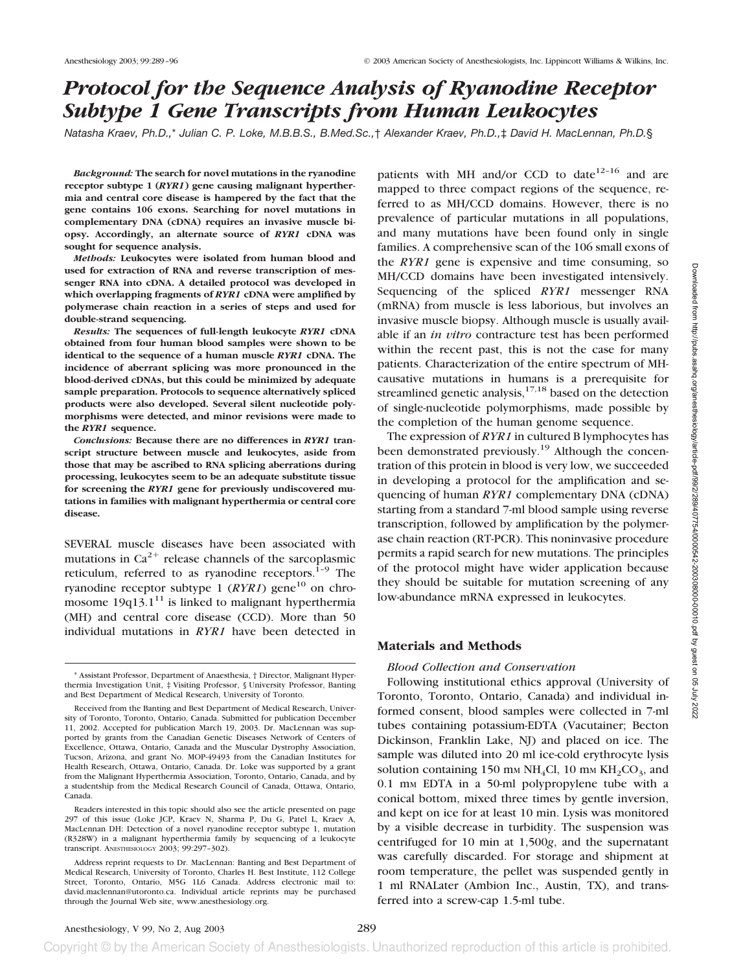# *Protocol for the Sequence Analysis of Ryanodine Receptor Subtype 1 Gene Transcripts from Human Leukocytes*

*Natasha Kraev, Ph.D.,*\* *Julian C. P. Loke, M.B.B.S., B.Med.Sc.,*† *Alexander Kraev, Ph.D.,*‡ *David H. MacLennan, Ph.D.*§

*Background:* **The search for novel mutations in the ryanodine receptor subtype 1 (***RYR1***) gene causing malignant hyperthermia and central core disease is hampered by the fact that the gene contains 106 exons. Searching for novel mutations in complementary DNA (cDNA) requires an invasive muscle biopsy. Accordingly, an alternate source of** *RYR1* **cDNA was sought for sequence analysis.**

*Methods:* **Leukocytes were isolated from human blood and used for extraction of RNA and reverse transcription of messenger RNA into cDNA. A detailed protocol was developed in which overlapping fragments of** *RYR1* **cDNA were amplified by polymerase chain reaction in a series of steps and used for double-strand sequencing.**

*Results:* **The sequences of full-length leukocyte** *RYR1* **cDNA obtained from four human blood samples were shown to be identical to the sequence of a human muscle** *RYR1* **cDNA. The incidence of aberrant splicing was more pronounced in the blood-derived cDNAs, but this could be minimized by adequate sample preparation. Protocols to sequence alternatively spliced products were also developed. Several silent nucleotide polymorphisms were detected, and minor revisions were made to the** *RYR1* **sequence.**

*Conclusions:* **Because there are no differences in** *RYR1* **transcript structure between muscle and leukocytes, aside from those that may be ascribed to RNA splicing aberrations during processing, leukocytes seem to be an adequate substitute tissue for screening the** *RYR1* **gene for previously undiscovered mutations in families with malignant hyperthermia or central core disease.**

SEVERAL muscle diseases have been associated with mutations in  $Ca^{2+}$  release channels of the sarcoplasmic reticulum, referred to as ryanodine receptors. $1-9$  The ryanodine receptor subtype 1  $(RYR1)$  gene<sup>10</sup> on chromosome  $19q13.1<sup>11</sup>$  is linked to malignant hyperthermia (MH) and central core disease (CCD). More than 50 individual mutations in *RYR1* have been detected in

patients with MH and/or CCD to date<sup>12-16</sup> and are mapped to three compact regions of the sequence, referred to as MH/CCD domains. However, there is no prevalence of particular mutations in all populations, and many mutations have been found only in single families. A comprehensive scan of the 106 small exons of the *RYR1* gene is expensive and time consuming, so MH/CCD domains have been investigated intensively. Sequencing of the spliced *RYR1* messenger RNA (mRNA) from muscle is less laborious, but involves an invasive muscle biopsy. Although muscle is usually available if an *in vitro* contracture test has been performed within the recent past, this is not the case for many patients. Characterization of the entire spectrum of MHcausative mutations in humans is a prerequisite for streamlined genetic analysis, $17,18$  based on the detection of single-nucleotide polymorphisms, made possible by the completion of the human genome sequence.

The expression of *RYR1* in cultured B lymphocytes has been demonstrated previously.<sup>19</sup> Although the concentration of this protein in blood is very low, we succeeded in developing a protocol for the amplification and sequencing of human *RYR1* complementary DNA (cDNA) starting from a standard 7-ml blood sample using reverse transcription, followed by amplification by the polymerase chain reaction (RT-PCR). This noninvasive procedure permits a rapid search for new mutations. The principles of the protocol might have wider application because they should be suitable for mutation screening of any low-abundance mRNA expressed in leukocytes.

## **Materials and Methods**

### *Blood Collection and Conservation*

Following institutional ethics approval (University of Toronto, Toronto, Ontario, Canada) and individual informed consent, blood samples were collected in 7-ml tubes containing potassium-EDTA (Vacutainer; Becton Dickinson, Franklin Lake, NJ) and placed on ice. The sample was diluted into 20 ml ice-cold erythrocyte lysis solution containing 150 mm  $NH<sub>4</sub>Cl$ , 10 mm  $KH<sub>2</sub>CO<sub>3</sub>$ , and  $0.1$  mm EDTA in a 50-ml polypropylene tube with a conical bottom, mixed three times by gentle inversion, and kept on ice for at least 10 min. Lysis was monitored by a visible decrease in turbidity. The suspension was centrifuged for 10 min at 1,500*g*, and the supernatant was carefully discarded. For storage and shipment at room temperature, the pellet was suspended gently in 1 ml RNALater (Ambion Inc., Austin, TX), and transferred into a screw-cap 1.5-ml tube.

<sup>\*</sup> Assistant Professor, Department of Anaesthesia, † Director, Malignant Hyperthermia Investigation Unit, ‡ Visiting Professor, § University Professor, Banting and Best Department of Medical Research, University of Toronto.

Received from the Banting and Best Department of Medical Research, University of Toronto, Toronto, Ontario, Canada. Submitted for publication December 11, 2002. Accepted for publication March 19, 2003. Dr. MacLennan was supported by grants from the Canadian Genetic Diseases Network of Centers of Excellence, Ottawa, Ontario, Canada and the Muscular Dystrophy Association, Tucson, Arizona, and grant No. MOP-49493 from the Canadian Institutes for Health Research, Ottawa, Ontario, Canada. Dr. Loke was supported by a grant from the Malignant Hyperthermia Association, Toronto, Ontario, Canada, and by a studentship from the Medical Research Council of Canada, Ottawa, Ontario, Canada.

Readers interested in this topic should also see the article presented on page 297 of this issue (Loke JCP, Kraev N, Sharma P, Du G, Patel L, Kraev A, MacLennan DH: Detection of a novel ryanodine receptor subtype 1, mutation (R328W) in a malignant hyperthermia family by sequencing of a leukocyte transcript. ANESTHESIOLOGY 2003; 99:297–302).

Address reprint requests to Dr. MacLennan: Banting and Best Department of Medical Research, University of Toronto, Charles H. Best Institute, 112 College Street, Toronto, Ontario, M5G 1L6 Canada. Address electronic mail to: david.maclennan@utoronto.ca. Individual article reprints may be purchased through the Journal Web site, www.anesthesiology.org.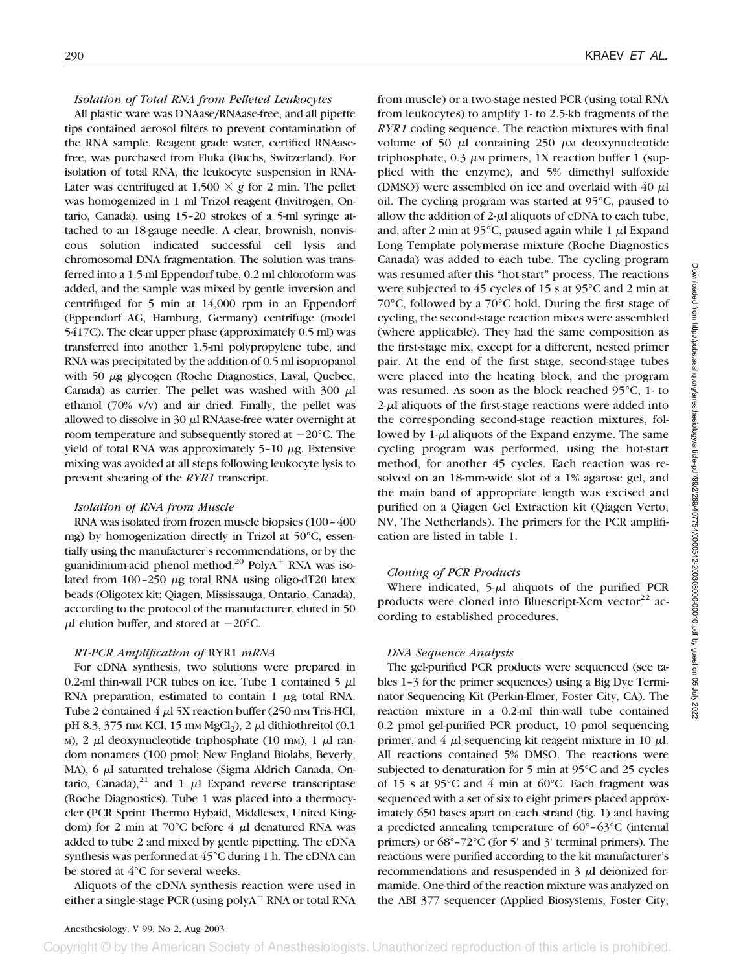### *Isolation of Total RNA from Pelleted Leukocytes*

All plastic ware was DNAase/RNAase-free, and all pipette tips contained aerosol filters to prevent contamination of the RNA sample. Reagent grade water, certified RNAasefree, was purchased from Fluka (Buchs, Switzerland). For isolation of total RNA, the leukocyte suspension in RNA-Later was centrifuged at  $1,500 \times g$  for 2 min. The pellet was homogenized in 1 ml Trizol reagent (Invitrogen, Ontario, Canada), using 15–20 strokes of a 5-ml syringe attached to an 18-gauge needle. A clear, brownish, nonviscous solution indicated successful cell lysis and chromosomal DNA fragmentation. The solution was transferred into a 1.5-ml Eppendorf tube, 0.2 ml chloroform was added, and the sample was mixed by gentle inversion and centrifuged for 5 min at 14,000 rpm in an Eppendorf (Eppendorf AG, Hamburg, Germany) centrifuge (model 5417C). The clear upper phase (approximately 0.5 ml) was transferred into another 1.5-ml polypropylene tube, and RNA was precipitated by the addition of 0.5 ml isopropanol with 50 µg glycogen (Roche Diagnostics, Laval, Quebec, Canada) as carrier. The pellet was washed with  $300 \mu$ l ethanol (70% v/v) and air dried. Finally, the pellet was allowed to dissolve in  $30 \mu$ l RNAase-free water overnight at room temperature and subsequently stored at  $-20^{\circ}$ C. The yield of total RNA was approximately  $5-10 \mu$ g. Extensive mixing was avoided at all steps following leukocyte lysis to prevent shearing of the *RYR1* transcript.

#### *Isolation of RNA from Muscle*

RNA was isolated from frozen muscle biopsies (100–400 mg) by homogenization directly in Trizol at 50°C, essentially using the manufacturer's recommendations, or by the guanidinium-acid phenol method.<sup>20</sup> Poly $A^+$  RNA was isolated from  $100-250 \mu g$  total RNA using oligo-dT20 latex beads (Oligotex kit; Qiagen, Mississauga, Ontario, Canada), according to the protocol of the manufacturer, eluted in 50  $\mu$ l elution buffer, and stored at -20°C.

#### *RT-PCR Amplification of* RYR1 *mRNA*

For cDNA synthesis, two solutions were prepared in 0.2-ml thin-wall PCR tubes on ice. Tube 1 contained  $5 \mu$ l RNA preparation, estimated to contain 1  $\mu$ g total RNA. Tube 2 contained  $4 \mu$  5X reaction buffer (250 mm Tris-HCl, pH 8.3, 375 mm KCl, 15 mm MgCl<sub>2</sub>), 2  $\mu$ l dithiothreitol (0.1) M), 2  $\mu$ l deoxynucleotide triphosphate (10 mM), 1  $\mu$ l random nonamers (100 pmol; New England Biolabs, Beverly, MA),  $6 \mu l$  saturated trehalose (Sigma Aldrich Canada, Ontario, Canada),<sup>21</sup> and 1  $\mu$ l Expand reverse transcriptase (Roche Diagnostics). Tube 1 was placed into a thermocycler (PCR Sprint Thermo Hybaid, Middlesex, United Kingdom) for 2 min at 70 $\degree$ C before 4  $\mu$ l denatured RNA was added to tube 2 and mixed by gentle pipetting. The cDNA synthesis was performed at 45°C during 1 h. The cDNA can be stored at 4°C for several weeks.

Aliquots of the cDNA synthesis reaction were used in either a single-stage PCR (using  $polyA^+$  RNA or total RNA from muscle) or a two-stage nested PCR (using total RNA from leukocytes) to amplify 1- to 2.5-kb fragments of the *RYR1* coding sequence. The reaction mixtures with final volume of 50  $\mu$ l containing 250  $\mu$ M deoxynucleotide triphosphate,  $0.3 \mu$ M primers, 1X reaction buffer 1 (supplied with the enzyme), and 5% dimethyl sulfoxide (DMSO) were assembled on ice and overlaid with  $40 \mu$ l oil. The cycling program was started at 95°C, paused to allow the addition of  $2-\mu l$  aliquots of cDNA to each tube, and, after 2 min at 95 $^{\circ}$ C, paused again while 1  $\mu$ l Expand Long Template polymerase mixture (Roche Diagnostics Canada) was added to each tube. The cycling program was resumed after this "hot-start" process. The reactions were subjected to 45 cycles of 15 s at 95°C and 2 min at 70°C, followed by a 70°C hold. During the first stage of cycling, the second-stage reaction mixes were assembled (where applicable). They had the same composition as the first-stage mix, except for a different, nested primer pair. At the end of the first stage, second-stage tubes were placed into the heating block, and the program was resumed. As soon as the block reached 95°C, 1- to  $2-\mu$ l aliquots of the first-stage reactions were added into the corresponding second-stage reaction mixtures, followed by  $1-\mu l$  aliquots of the Expand enzyme. The same cycling program was performed, using the hot-start method, for another 45 cycles. Each reaction was resolved on an 18-mm-wide slot of a 1% agarose gel, and the main band of appropriate length was excised and purified on a Qiagen Gel Extraction kit (Qiagen Verto, NV, The Netherlands). The primers for the PCR amplification are listed in table 1.

## *Cloning of PCR Products*

Where indicated,  $5-\mu l$  aliquots of the purified PCR products were cloned into Bluescript-Xcm vector $^{22}$  according to established procedures.

#### *DNA Sequence Analysis*

The gel-purified PCR products were sequenced (see tables 1–3 for the primer sequences) using a Big Dye Terminator Sequencing Kit (Perkin-Elmer, Foster City, CA). The reaction mixture in a 0.2-ml thin-wall tube contained 0.2 pmol gel-purified PCR product, 10 pmol sequencing primer, and  $4 \mu l$  sequencing kit reagent mixture in 10  $\mu l$ . All reactions contained 5% DMSO. The reactions were subjected to denaturation for 5 min at 95°C and 25 cycles of 15 s at 95°C and 4 min at 60°C. Each fragment was sequenced with a set of six to eight primers placed approximately 650 bases apart on each strand (fig. 1) and having a predicted annealing temperature of 60°–63°C (internal primers) or 68°–72°C (for 5' and 3' terminal primers). The reactions were purified according to the kit manufacturer's recommendations and resuspended in  $3 \mu l$  deionized formamide. One-third of the reaction mixture was analyzed on the ABI 377 sequencer (Applied Biosystems, Foster City,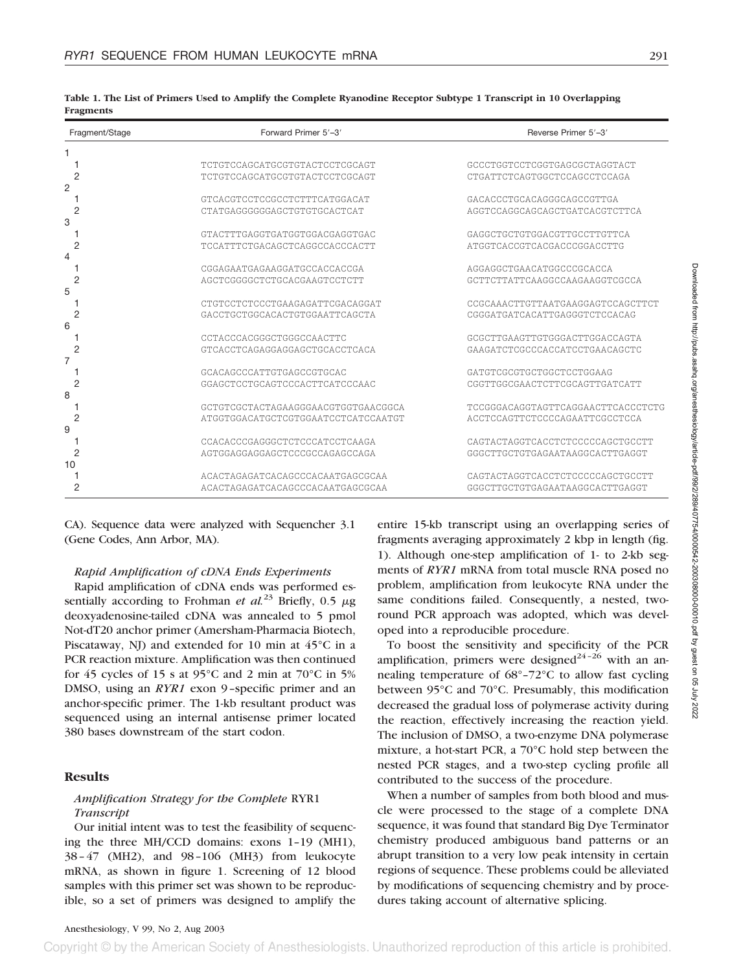| Fragment/Stage | Forward Primer 5'-3'                                              | Reverse Primer 5'-3'               |
|----------------|-------------------------------------------------------------------|------------------------------------|
|                |                                                                   |                                    |
|                | TCTGTCCAGCATGCGTGTACTCCTCGCAGT                                    | GCCCTGGTCCTCGGTGAGCGCTAGGTACT      |
| 2              | TCTGTCCAGCATGCGTGTACTCCTCGCAGT                                    | CTGATTCTCAGTGGCTCCAGCCTCCAGA       |
| 2              |                                                                   |                                    |
|                | GTCACGTCCTCCGCCTCTTTCATGGACAT                                     | GACACCCTGCACAGGGCAGCCGTTGA         |
| 2              | CTATGAGGGGGGAGCTGTGTGCACTCAT                                      | AGGTCCAGGCAGCAGCTGATCACGTCTTCA     |
| 3              |                                                                   |                                    |
|                | GTACTTTGAGGTGATGGTGGACGAGGTGAC                                    | GAGGCTGCTGTGGACGTTGCCTTGTTCA       |
| 2              | TCCATTTCTGACAGCTCAGGCCACCCACTT                                    | ATGGTCACCGTCACGACCCGGACCTTG        |
| 4              |                                                                   |                                    |
|                | CGGAGAATGAGAAGGATGCCACCACCGA                                      | AGGAGGCTGAACATGGCCCGCACCA          |
| 2<br>5         | AGCTCGGGGCTCTGCACGAAGTCCTCTT                                      | GCTTCTTATTCAAGGCCAAGAAGGTCGCCA     |
|                |                                                                   | CCGCAAACTTGTTAATGAAGGAGTCCAGCTTCT  |
| 2              | CTGTCCTCTCCCTGAAGAGATTCGACAGGAT<br>GACCTGCTGGCACACTGTGGAATTCAGCTA | CGGGATGATCACATTGAGGGTCTCCACAG      |
| 6              |                                                                   |                                    |
|                | CCTACCCACGGGCTGGGCCAACTTC                                         | GCGCTTGAAGTTGTGGGACTTGGACCAGTA     |
| 2              | GTCACCTCAGAGGAGGAGCTGCACCTCACA                                    | GAAGATCTCGCCCACCATCCTGAACAGCTC     |
| 7              |                                                                   |                                    |
|                | GCACAGCCCATTGTGAGCCGTGCAC                                         | GATGTCGCGTGCTGGCTCCTGGAAG          |
| 2              | GGAGCTCCTGCAGTCCCACTTCATCCCAAC                                    | CGGTTGGCGAACTCTTCGCAGTTGATCATT     |
| 8              |                                                                   |                                    |
|                | GCTGTCGCTACTAGAAGGGAACGTGGTGAACGGCA                               | TCCGGGACAGGTAGTTCAGGAACTTCACCCTCTG |
| 2              | ATGGTGGACATGCTCGTGGAATCCTCATCCAATGT                               | ACCTCCAGTTCTCCCCAGAATTCGCCTCCA     |
| 9              |                                                                   |                                    |
|                | CCACACCCGAGGGCTCTCCCATCCTCAAGA                                    | CAGTACTAGGTCACCTCTCCCCCAGCTGCCTT   |
| 2              | AGTGGAGGAGGAGCTCCCGCCAGAGCCAGA                                    | GGGCTTGCTGTGAGAATAAGGCACTTGAGGT    |
| 10             |                                                                   |                                    |
|                | ACACTAGAGATCACAGCCCACAATGAGCGCAA                                  | CAGTACTAGGTCACCTCTCCCCCAGCTGCCTT   |
| 2              | ACACTAGAGATCACAGCCCACAATGAGCGCAA                                  | GGGCTTGCTGTGAGAATAAGGCACTTGAGGT    |

**Table 1. The List of Primers Used to Amplify the Complete Ryanodine Receptor Subtype 1 Transcript in 10 Overlapping Fragments**

CA). Sequence data were analyzed with Sequencher 3.1 (Gene Codes, Ann Arbor, MA).

## *Rapid Amplification of cDNA Ends Experiments*

Rapid amplification of cDNA ends was performed essentially according to Frohman *et al.*<sup>23</sup> Briefly, 0.5  $\mu$ g deoxyadenosine-tailed cDNA was annealed to 5 pmol Not-dT20 anchor primer (Amersham-Pharmacia Biotech, Piscataway, NJ) and extended for 10 min at 45°C in a PCR reaction mixture. Amplification was then continued for 45 cycles of 15 s at 95°C and 2 min at 70°C in 5% DMSO, using an *RYR1* exon 9–specific primer and an anchor-specific primer. The 1-kb resultant product was sequenced using an internal antisense primer located 380 bases downstream of the start codon.

## **Results**

# *Amplification Strategy for the Complete* RYR1 *Transcript*

Our initial intent was to test the feasibility of sequencing the three MH/CCD domains: exons 1–19 (MH1), 38–47 (MH2), and 98–106 (MH3) from leukocyte mRNA, as shown in figure 1. Screening of 12 blood samples with this primer set was shown to be reproducible, so a set of primers was designed to amplify the entire 15-kb transcript using an overlapping series of fragments averaging approximately 2 kbp in length (fig. 1). Although one-step amplification of 1- to 2-kb segments of *RYR1* mRNA from total muscle RNA posed no problem, amplification from leukocyte RNA under the same conditions failed. Consequently, a nested, tworound PCR approach was adopted, which was developed into a reproducible procedure.

To boost the sensitivity and specificity of the PCR amplification, primers were designed<sup>24-26</sup> with an annealing temperature of 68°–72°C to allow fast cycling between 95°C and 70°C. Presumably, this modification decreased the gradual loss of polymerase activity during the reaction, effectively increasing the reaction yield. The inclusion of DMSO, a two-enzyme DNA polymerase mixture, a hot-start PCR, a 70°C hold step between the nested PCR stages, and a two-step cycling profile all contributed to the success of the procedure.

When a number of samples from both blood and muscle were processed to the stage of a complete DNA sequence, it was found that standard Big Dye Terminator chemistry produced ambiguous band patterns or an abrupt transition to a very low peak intensity in certain regions of sequence. These problems could be alleviated by modifications of sequencing chemistry and by procedures taking account of alternative splicing.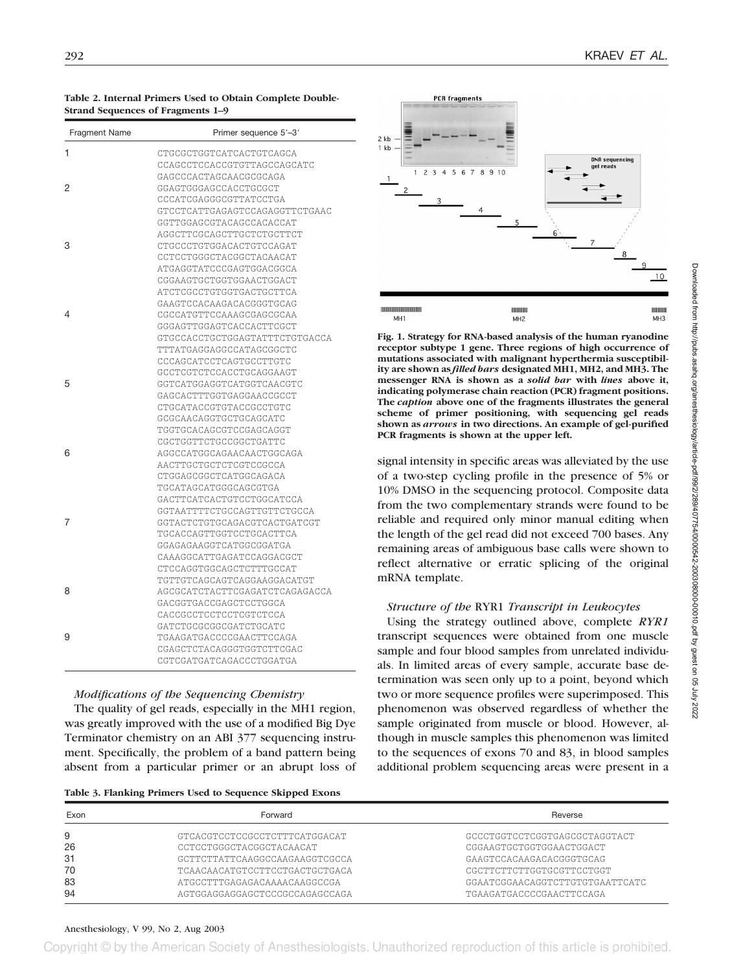#### **Table 2. Internal Primers Used to Obtain Complete Double-Strand Sequences of Fragments 1–9**

| Fragment Name | Primer sequence 5'-3'                             |
|---------------|---------------------------------------------------|
| 1             | CTGCGCTGGTCATCACTGTCAGCA                          |
|               | CCAGCCTCCACCGTGTTAGCCAGCATC                       |
|               | GAGCCCACTAGCAACGCGCAGA                            |
| 2             | GGAGTGGGAGCCACCTGCGCT                             |
|               | CCCATCGAGGGCGTTATCCTGA                            |
|               | GTCCTCATTGAGAGTCCAGAGGTTCTGAAC                    |
|               | GGTTGGAGCGTACAGCCACACCAT                          |
|               | AGGCTTCGCAGCTTGCTCTGCTTCT                         |
| 3             | CTGCCCTGTGGACACTGTCCAGAT                          |
|               | CCTCCTGGGCTACGGCTACAACAT                          |
|               | ATGAGGTATCCCGAGTGGACGGCA                          |
|               | CGGAAGTGCTGGTGGAACTGGACT                          |
|               | ATCTCGCCTGTGGTGACTGCTTCA                          |
|               | GAAGTCCACAAGACACGGGTGCAG                          |
| 4             | CGCCATGTTCCAAAGCGAGCGCAA                          |
|               | GGGAGTTGGAGTCACCACTTCGCT                          |
|               | GTGCCACCTGCTGGAGTATTTCTGTGACCA                    |
|               | TTTATGAGGAGGCCATAGCGGCTC                          |
|               | CCCAGCATCCTCAGTGCCTTGTC                           |
|               | GCCTCGTCTCCACCTGCAGGAAGT                          |
| 5             | GGTCATGGAGGTCATGGTCAACGTC                         |
|               | GAGCACTTTGGTGAGGAACCGCCT                          |
|               | CTGCATACCGTGTACCGCCTGTC                           |
|               | GCGCAACAGGTGCTGCAGCATC<br>TGGTGCACAGCGTCCGAGCAGGT |
|               | CGCTGGTTCTGCCGGCTGATTC                            |
| 6             | AGGCCATGGCAGAACAACTGGCAGA                         |
|               | AACTTGCTGCTCTCGTCCGCCA                            |
|               | CTGGAGCGGCTCATGGCAGACA                            |
|               | TGCATAGCATGGGCAGCGTGA                             |
|               | GACTTCATCACTGTCCTGGCATCCA                         |
|               | GGTAATTTTCTGCCAGTTGTTCTGCCA                       |
| 7             | GGTACTCTGTGCAGACGTCACTGATCGT                      |
|               | TGCACCAGTTGGTCCTGCACTTCA                          |
|               | GGAGAGAAGGTCATGGCGGATGA                           |
|               | CAAAGGCATTGAGATCCAGGACGCT                         |
|               | CTCCAGGTGGCAGCTCTTTGCCAT                          |
|               | TGTTGTCAGCAGTCAGGAAGGACATGT                       |
| 8             | AGCGCATCTACTTCGAGATCTCAGAGACCA                    |
|               | GACGGTGACCGAGCTCCTGGCA                            |
|               | CACCGCCTCCTCCTCGTCTCCA                            |
|               | GATCTGCGCGGCGATCTGCATC                            |
| 9             | TGAAGATGACCCCGAACTTCCAGA                          |
|               | CGAGCTCTACAGGGTGGTCTTCGAC                         |
|               | CGTCGATGATCAGACCCTGGATGA                          |
|               |                                                   |

# *Modifications of the Sequencing Chemistry*

The quality of gel reads, especially in the MH1 region, was greatly improved with the use of a modified Big Dye Terminator chemistry on an ABI 377 sequencing instrument. Specifically, the problem of a band pattern being absent from a particular primer or an abrupt loss of

| Table 3. Flanking Primers Used to Sequence Skipped Exons |  |  |  |  |
|----------------------------------------------------------|--|--|--|--|
|----------------------------------------------------------|--|--|--|--|



**Fig. 1. Strategy for RNA-based analysis of the human ryanodine receptor subtype 1 gene. Three regions of high occurrence of mutations associated with malignant hyperthermia susceptibility are shown as** *filled bars* **designated MH1, MH2, and MH3. The messenger RNA is shown as a** *solid bar* **with** *lines* **above it, indicating polymerase chain reaction (PCR) fragment positions. The** *caption* **above one of the fragments illustrates the general scheme of primer positioning, with sequencing gel reads shown as** *arrows* **in two directions. An example of gel-purified PCR fragments is shown at the upper left.**

signal intensity in specific areas was alleviated by the use of a two-step cycling profile in the presence of 5% or 10% DMSO in the sequencing protocol. Composite data from the two complementary strands were found to be reliable and required only minor manual editing when the length of the gel read did not exceed 700 bases. Any remaining areas of ambiguous base calls were shown to reflect alternative or erratic splicing of the original mRNA template.

# *Structure of the* RYR1 *Transcript in Leukocytes*

Using the strategy outlined above, complete *RYR1* transcript sequences were obtained from one muscle sample and four blood samples from unrelated individuals. In limited areas of every sample, accurate base determination was seen only up to a point, beyond which two or more sequence profiles were superimposed. This phenomenon was observed regardless of whether the sample originated from muscle or blood. However, although in muscle samples this phenomenon was limited to the sequences of exons 70 and 83, in blood samples additional problem sequencing areas were present in a

| Exon     | Forward                                                        | Reverse                                                     |  |  |  |
|----------|----------------------------------------------------------------|-------------------------------------------------------------|--|--|--|
| 9        | GTCACGTCCTCCGCCTCTTTCATGGACAT                                  | GCCCTGGTCCTCGGTGAGCGCTAGGTACT                               |  |  |  |
| 26       | CCTCCTGGGCTACGGCTACAACAT                                       | CGGAAGTGCTGGTGGAACTGGACT                                    |  |  |  |
| 31       | GCTTCTTATTCAAGGCCAAGAAGGTCGCCA                                 | GAAGTCCACAAGACACGGGTGCAG                                    |  |  |  |
| 70       | TCAACAACATGTCCTTCCTGACTGCTGACA                                 | CGCTTCTTCTTGGTGCGTTCCTGGT                                   |  |  |  |
| 83<br>94 | ATGCCTTTGAGAGACAAAACAAGGCCGA<br>AGTGGAGGAGGAGCTCCCCCCAGAGCCAGA | GGAATCGGAACAGGTCTTGTGTGAATTCATC<br>TGAAGATGACCCCGAACTTCCAGA |  |  |  |

## Anesthesiology, V 99, No 2, Aug 2003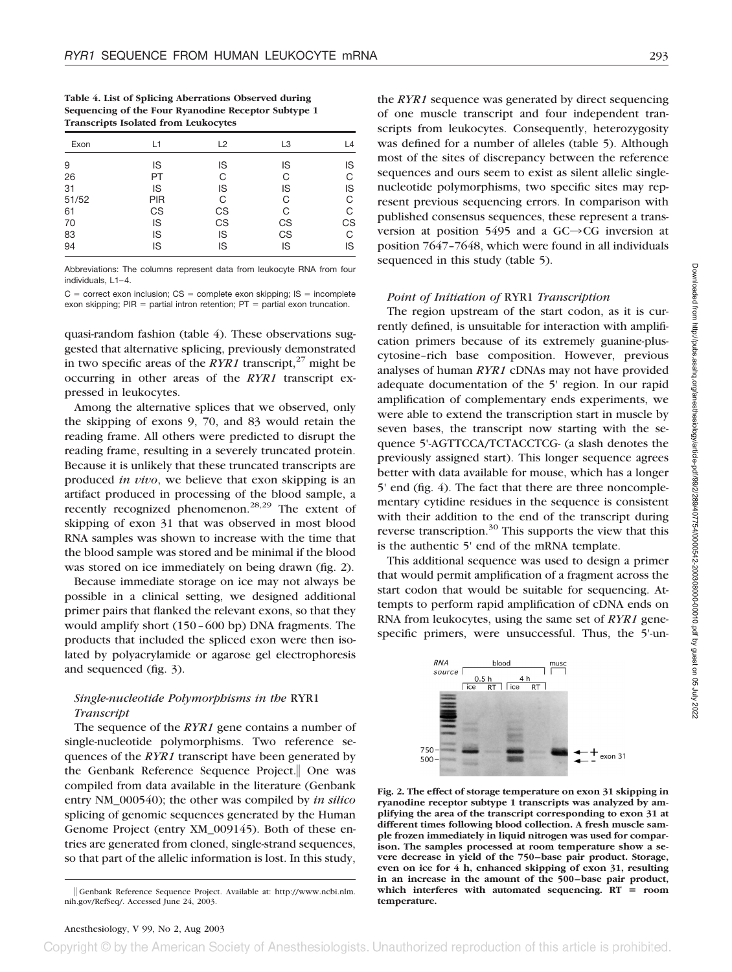| Table 4. List of Splicing Aberrations Observed during |
|-------------------------------------------------------|
| Sequencing of the Four Ryanodine Receptor Subtype 1   |
| <b>Transcripts Isolated from Leukocytes</b>           |

| Exon  | L1  | L2 | L <sub>3</sub> | L4 |
|-------|-----|----|----------------|----|
| 9     | IS  | IS | IS             | IS |
| 26    | PT  | С  | С              | С  |
| 31    | IS  | IS | IS             | IS |
| 51/52 | PIR | С  | С              | С  |
| 61    | CS  | CS | С              | С  |
| 70    | IS  | CS | CS             | CS |
| 83    | IS  | IS | CS             | С  |
| 94    | IS  | IS | IS             | IS |

Abbreviations: The columns represent data from leukocyte RNA from four individuals, L1-4.

 $C =$  correct exon inclusion;  $CS =$  complete exon skipping;  $IS =$  incomplete exon skipping;  $PIR =$  partial intron retention;  $PT =$  partial exon truncation.

quasi-random fashion (table 4). These observations suggested that alternative splicing, previously demonstrated in two specific areas of the *RYR1* transcript,<sup>27</sup> might be occurring in other areas of the *RYR1* transcript expressed in leukocytes.

Among the alternative splices that we observed, only the skipping of exons 9, 70, and 83 would retain the reading frame. All others were predicted to disrupt the reading frame, resulting in a severely truncated protein. Because it is unlikely that these truncated transcripts are produced *in vivo*, we believe that exon skipping is an artifact produced in processing of the blood sample, a recently recognized phenomenon.<sup>28,29</sup> The extent of skipping of exon 31 that was observed in most blood RNA samples was shown to increase with the time that the blood sample was stored and be minimal if the blood was stored on ice immediately on being drawn (fig. 2).

Because immediate storage on ice may not always be possible in a clinical setting, we designed additional primer pairs that flanked the relevant exons, so that they would amplify short (150–600 bp) DNA fragments. The products that included the spliced exon were then isolated by polyacrylamide or agarose gel electrophoresis and sequenced (fig. 3).

# *Single-nucleotide Polymorphisms in the* RYR1 *Transcript*

The sequence of the *RYR1* gene contains a number of single-nucleotide polymorphisms. Two reference sequences of the *RYR1* transcript have been generated by the Genbank Reference Sequence Project. One was compiled from data available in the literature (Genbank entry NM\_000540); the other was compiled by *in silico* splicing of genomic sequences generated by the Human Genome Project (entry XM\_009145). Both of these entries are generated from cloned, single-strand sequences, so that part of the allelic information is lost. In this study,

the *RYR1* sequence was generated by direct sequencing of one muscle transcript and four independent transcripts from leukocytes. Consequently, heterozygosity was defined for a number of alleles (table 5). Although most of the sites of discrepancy between the reference sequences and ours seem to exist as silent allelic singlenucleotide polymorphisms, two specific sites may represent previous sequencing errors. In comparison with published consensus sequences, these represent a transversion at position 5495 and a  $GC \rightarrow CG$  inversion at position 7647–7648, which were found in all individuals sequenced in this study (table 5).

#### *Point of Initiation of* RYR1 *Transcription*

The region upstream of the start codon, as it is currently defined, is unsuitable for interaction with amplification primers because of its extremely guanine-pluscytosine–rich base composition. However, previous analyses of human *RYR1* cDNAs may not have provided adequate documentation of the 5' region. In our rapid amplification of complementary ends experiments, we were able to extend the transcription start in muscle by seven bases, the transcript now starting with the sequence 5'-AGTTCCA/TCTACCTCG- (a slash denotes the previously assigned start). This longer sequence agrees better with data available for mouse, which has a longer 5' end (fig. 4). The fact that there are three noncomplementary cytidine residues in the sequence is consistent with their addition to the end of the transcript during reverse transcription. $30$  This supports the view that this is the authentic 5' end of the mRNA template.

This additional sequence was used to design a primer that would permit amplification of a fragment across the start codon that would be suitable for sequencing. Attempts to perform rapid amplification of cDNA ends on RNA from leukocytes, using the same set of *RYR1* genespecific primers, were unsuccessful. Thus, the 5'-un-



**Fig. 2. The effect of storage temperature on exon 31 skipping in ryanodine receptor subtype 1 transcripts was analyzed by amplifying the area of the transcript corresponding to exon 31 at different times following blood collection. A fresh muscle sample frozen immediately in liquid nitrogen was used for comparison. The samples processed at room temperature show a severe decrease in yield of the 750 –base pair product. Storage, even on ice for 4 h, enhanced skipping of exon 31, resulting in an increase in the amount of the 500 –base pair product, which interferes with automated sequencing. RT room temperature.**

Genbank Reference Sequence Project. Available at: http://www.ncbi.nlm. nih.gov/RefSeq/. Accessed June 24, 2003.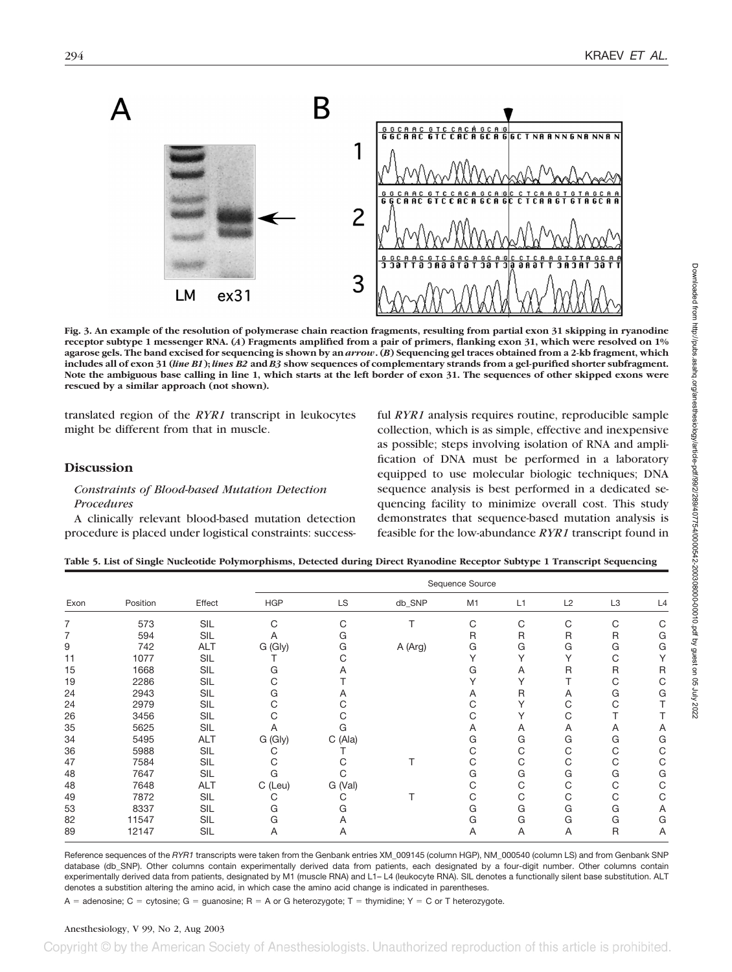

**Fig. 3. An example of the resolution of polymerase chain reaction fragments, resulting from partial exon 31 skipping in ryanodine receptor subtype 1 messenger RNA. (***A***) Fragments amplified from a pair of primers, flanking exon 31, which were resolved on 1% agarose gels. The band excised for sequencing is shown by an** *arrow***. (***B***) Sequencing gel traces obtained from a 2-kb fragment, which includes all of exon 31 (***line B1***);** *lines B2* **and** *B3* **show sequences of complementary strands from a gel-purified shorter subfragment. Note the ambiguous base calling in line 1, which starts at the left border of exon 31. The sequences of other skipped exons were rescued by a similar approach (not shown).**

translated region of the *RYR1* transcript in leukocytes might be different from that in muscle.

# **Discussion**

# *Constraints of Blood-based Mutation Detection Procedures*

A clinically relevant blood-based mutation detection procedure is placed under logistical constraints: successful *RYR1* analysis requires routine, reproducible sample collection, which is as simple, effective and inexpensive as possible; steps involving isolation of RNA and amplification of DNA must be performed in a laboratory equipped to use molecular biologic techniques; DNA sequence analysis is best performed in a dedicated sequencing facility to minimize overall cost. This study demonstrates that sequence-based mutation analysis is feasible for the low-abundance *RYR1* transcript found in

| Table 5. List of Single Nucleotide Polymorphisms, Detected during Direct Ryanodine Receptor Subtype 1 Transcript Sequencing |  |  |  |
|-----------------------------------------------------------------------------------------------------------------------------|--|--|--|
|-----------------------------------------------------------------------------------------------------------------------------|--|--|--|

| Exon | Position | Effect     | Sequence Source |         |         |    |    |    |                |    |
|------|----------|------------|-----------------|---------|---------|----|----|----|----------------|----|
|      |          |            | <b>HGP</b>      | LS      | db_SNP  | M1 | L1 | L2 | L <sub>3</sub> | L4 |
| 7    | 573      | <b>SIL</b> | С               | С       |         | С  | C  | С  | C              |    |
| 7    | 594      | <b>SIL</b> | A               | G       |         | R  | R  | R  | R              | G  |
| 9    | 742      | <b>ALT</b> | G (Gly)         | G       | A (Arg) | G  | G  | G  | G              | G  |
| 11   | 1077     | <b>SIL</b> |                 | C       |         |    |    | Υ  | C              |    |
| 15   | 1668     | <b>SIL</b> | G               | A       |         | G  | A  | R  | $\mathsf{R}$   | R  |
| 19   | 2286     | <b>SIL</b> | С               |         |         |    |    |    | С              |    |
| 24   | 2943     | <b>SIL</b> | G               | A       |         | A  | R  | Α  | G              | G  |
| 24   | 2979     | <b>SIL</b> | С               | С       |         |    |    | С  | C              |    |
| 26   | 3456     | <b>SIL</b> |                 |         |         | С  |    | С  |                |    |
| 35   | 5625     | <b>SIL</b> | A               | G       |         | A  | Α  | Α  | Α              | Α  |
| 34   | 5495     | <b>ALT</b> | G (Gly)         | C(A a)  |         | G  | G  | G  | G              | G  |
| 36   | 5988     | <b>SIL</b> |                 |         |         | C  | С  | С  | C              |    |
| 47   | 7584     | <b>SIL</b> |                 |         |         | С  | С  | С  | С              |    |
| 48   | 7647     | <b>SIL</b> | G               | С       |         | G  | G  | G  | G              | G  |
| 48   | 7648     | <b>ALT</b> | C (Leu)         | G (Val) |         | С  | С  | С  | С              |    |
| 49   | 7872     | <b>SIL</b> |                 | С       |         | С  | C  | С  | C              |    |
| 53   | 8337     | <b>SIL</b> | G               | G       |         | G  | G  | G  | G              | Α  |
| 82   | 11547    | <b>SIL</b> | G               | A       |         | G  | G  | G  | G              | G  |
| 89   | 12147    | SIL        | A               | A       |         | A  | A  | A  | $\mathsf{R}$   | Α  |

Reference sequences of the *RYR1* transcripts were taken from the Genbank entries XM\_009145 (column HGP), NM\_000540 (column LS) and from Genbank SNP database (db\_SNP). Other columns contain experimentally derived data from patients, each designated by a four-digit number. Other columns contain experimentally derived data from patients, designated by M1 (muscle RNA) and L1– L4 (leukocyte RNA). SIL denotes a functionally silent base substitution. ALT denotes a substition altering the amino acid, in which case the amino acid change is indicated in parentheses.

 $A =$  adenosine;  $C =$  cytosine;  $G =$  guanosine;  $R = A$  or G heterozygote; T = thymidine; Y = C or T heterozygote.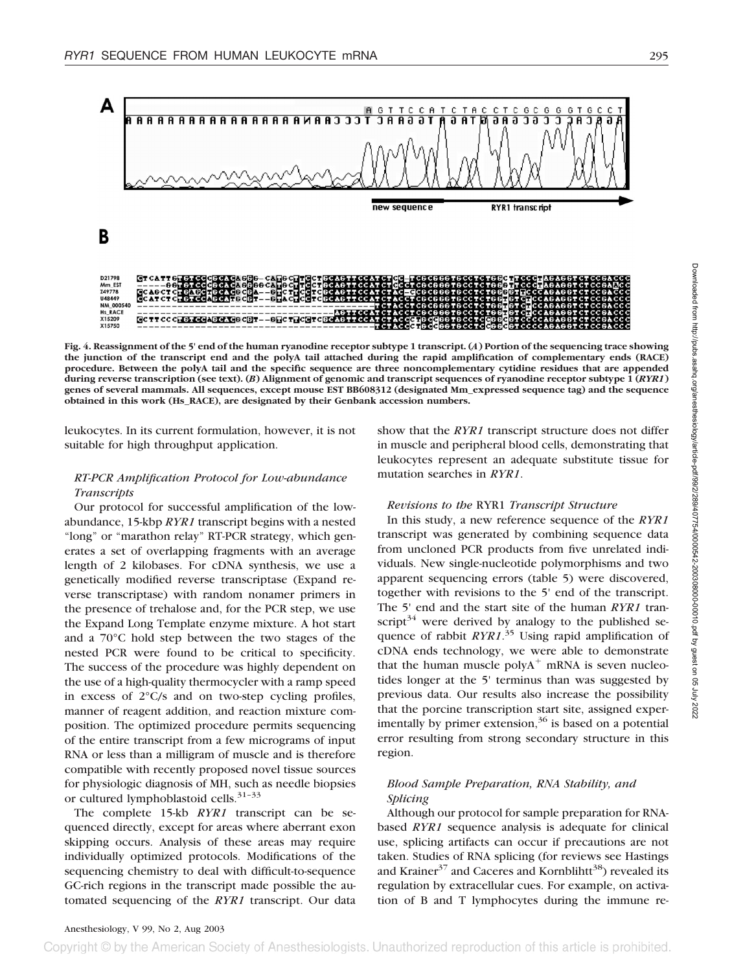

**Fig. 4. Reassignment of the 5' end of the human ryanodine receptor subtype 1 transcript. (***A***) Portion of the sequencing trace showing the junction of the transcript end and the polyA tail attached during the rapid amplification of complementary ends (RACE) procedure. Between the polyA tail and the specific sequence are three noncomplementary cytidine residues that are appended during reverse transcription (see text). (***B***) Alignment of genomic and transcript sequences of ryanodine receptor subtype 1 (***RYR1***) genes of several mammals. All sequences, except mouse EST BB608312 (designated Mm\_expressed sequence tag) and the sequence obtained in this work (Hs\_RACE), are designated by their Genbank accession numbers.**

leukocytes. In its current formulation, however, it is not suitable for high throughput application.

# *RT-PCR Amplification Protocol for Low-abundance Transcripts*

Our protocol for successful amplification of the lowabundance, 15-kbp *RYR1* transcript begins with a nested "long" or "marathon relay" RT-PCR strategy, which generates a set of overlapping fragments with an average length of 2 kilobases. For cDNA synthesis, we use a genetically modified reverse transcriptase (Expand reverse transcriptase) with random nonamer primers in the presence of trehalose and, for the PCR step, we use the Expand Long Template enzyme mixture. A hot start and a 70°C hold step between the two stages of the nested PCR were found to be critical to specificity. The success of the procedure was highly dependent on the use of a high-quality thermocycler with a ramp speed in excess of 2°C/s and on two-step cycling profiles, manner of reagent addition, and reaction mixture composition. The optimized procedure permits sequencing of the entire transcript from a few micrograms of input RNA or less than a milligram of muscle and is therefore compatible with recently proposed novel tissue sources for physiologic diagnosis of MH, such as needle biopsies or cultured lymphoblastoid cells.<sup>31-33</sup>

The complete 15-kb *RYR1* transcript can be sequenced directly, except for areas where aberrant exon skipping occurs. Analysis of these areas may require individually optimized protocols. Modifications of the sequencing chemistry to deal with difficult-to-sequence GC-rich regions in the transcript made possible the automated sequencing of the *RYR1* transcript. Our data

show that the *RYR1* transcript structure does not differ in muscle and peripheral blood cells, demonstrating that leukocytes represent an adequate substitute tissue for mutation searches in *RYR1*.

## *Revisions to the* RYR1 *Transcript Structure*

In this study, a new reference sequence of the *RYR1* transcript was generated by combining sequence data from uncloned PCR products from five unrelated individuals. New single-nucleotide polymorphisms and two apparent sequencing errors (table 5) were discovered, together with revisions to the 5' end of the transcript. The 5' end and the start site of the human *RYR1* transcript<sup>34</sup> were derived by analogy to the published sequence of rabbit *RYR1*. <sup>35</sup> Using rapid amplification of cDNA ends technology, we were able to demonstrate that the human muscle poly $A^+$  mRNA is seven nucleotides longer at the 5' terminus than was suggested by previous data. Our results also increase the possibility that the porcine transcription start site, assigned experimentally by primer extension,  $36$  is based on a potential error resulting from strong secondary structure in this region.

# *Blood Sample Preparation, RNA Stability, and Splicing*

Although our protocol for sample preparation for RNAbased *RYR1* sequence analysis is adequate for clinical use, splicing artifacts can occur if precautions are not taken. Studies of RNA splicing (for reviews see Hastings and Krainer<sup>37</sup> and Caceres and Kornblihtt<sup>38</sup>) revealed its regulation by extracellular cues. For example, on activation of B and T lymphocytes during the immune re